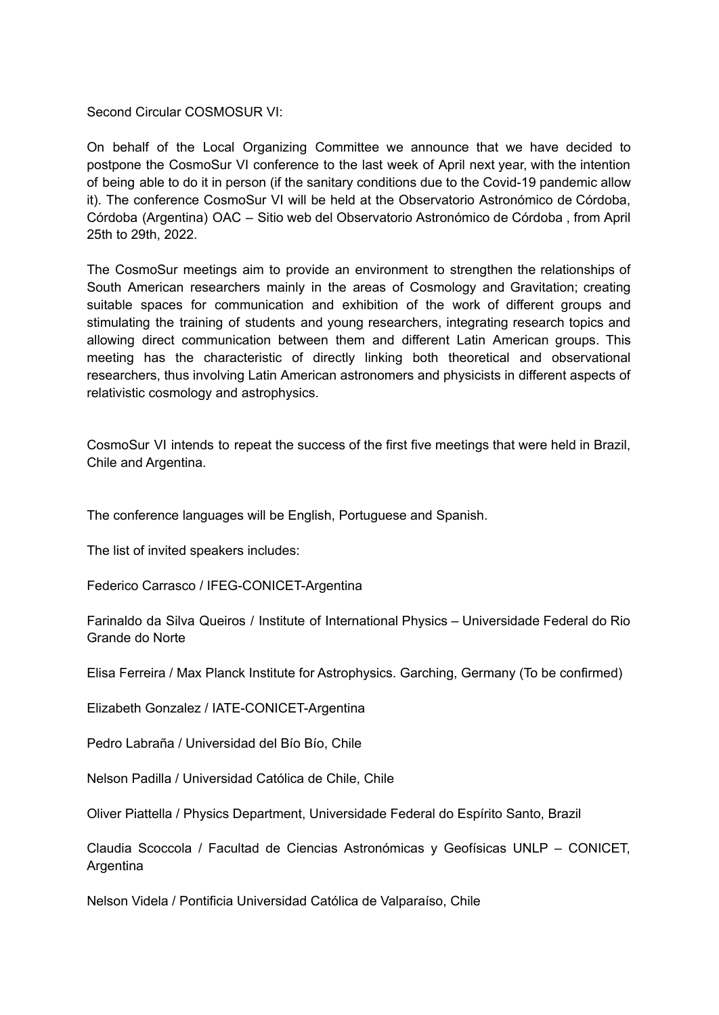Second Circular COSMOSUR VI:

On behalf of the Local Organizing Committee we announce that we have decided to postpone the CosmoSur VI conference to the last week of April next year, with the intention of being able to do it in person (if the sanitary conditions due to the Covid-19 pandemic allow it). The conference CosmoSur VI will be held at the Observatorio Astronómico de Córdoba, Córdoba (Argentina) OAC – Sitio web del Observatorio Astronómico de Córdoba , from April 25th to 29th, 2022.

The CosmoSur meetings aim to provide an environment to strengthen the relationships of South American researchers mainly in the areas of Cosmology and Gravitation; creating suitable spaces for communication and exhibition of the work of different groups and stimulating the training of students and young researchers, integrating research topics and allowing direct communication between them and different Latin American groups. This meeting has the characteristic of directly linking both theoretical and observational researchers, thus involving Latin American astronomers and physicists in different aspects of relativistic cosmology and astrophysics.

CosmoSur VI intends to repeat the success of the first five meetings that were held in Brazil, Chile and Argentina.

The conference languages will be English, Portuguese and Spanish.

The list of invited speakers includes:

Federico Carrasco / IFEG-CONICET-Argentina

Farinaldo da Silva Queiros / Institute of International Physics – Universidade Federal do Rio Grande do Norte

Elisa Ferreira / Max Planck Institute for Astrophysics. Garching, Germany (To be confirmed)

Elizabeth Gonzalez / IATE-CONICET-Argentina

Pedro Labraña / Universidad del Bío Bío, Chile

Nelson Padilla / Universidad Católica de Chile, Chile

Oliver Piattella / Physics Department, Universidade Federal do Espírito Santo, Brazil

Claudia Scoccola / Facultad de Ciencias Astronómicas y Geofísicas UNLP – CONICET, **Argentina** 

Nelson Videla / Pontificia Universidad Católica de Valparaíso, Chile